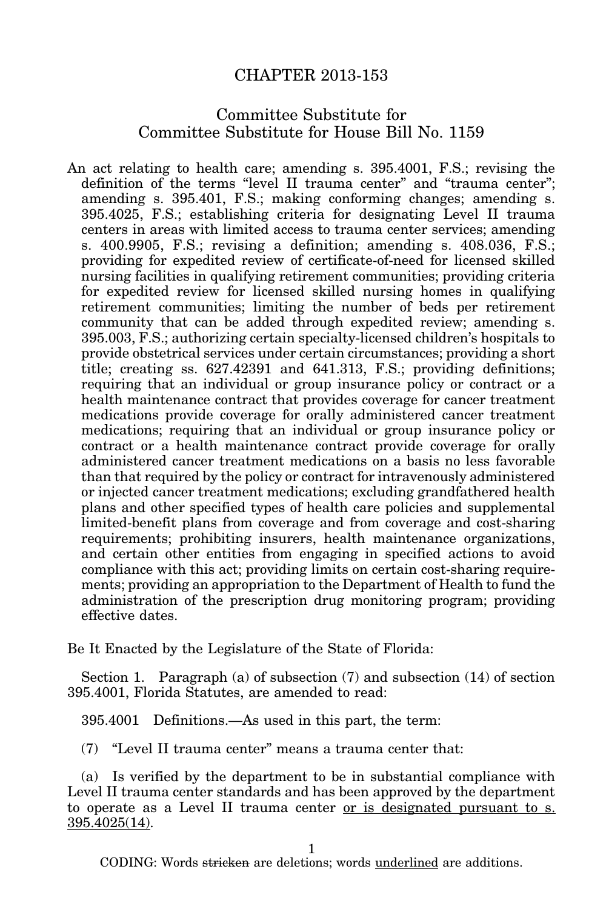## CHAPTER 2013-153

## Committee Substitute for Committee Substitute for House Bill No. 1159

An act relating to health care; amending s. 395.4001, F.S.; revising the definition of the terms "level II trauma center" and "trauma center"; amending s. 395.401, F.S.; making conforming changes; amending s. 395.4025, F.S.; establishing criteria for designating Level II trauma centers in areas with limited access to trauma center services; amending s. 400.9905, F.S.; revising a definition; amending s. 408.036, F.S.; providing for expedited review of certificate-of-need for licensed skilled nursing facilities in qualifying retirement communities; providing criteria for expedited review for licensed skilled nursing homes in qualifying retirement communities; limiting the number of beds per retirement community that can be added through expedited review; amending s. 395.003, F.S.; authorizing certain specialty-licensed children's hospitals to provide obstetrical services under certain circumstances; providing a short title; creating ss. 627.42391 and 641.313, F.S.; providing definitions; requiring that an individual or group insurance policy or contract or a health maintenance contract that provides coverage for cancer treatment medications provide coverage for orally administered cancer treatment medications; requiring that an individual or group insurance policy or contract or a health maintenance contract provide coverage for orally administered cancer treatment medications on a basis no less favorable than that required by the policy or contract for intravenously administered or injected cancer treatment medications; excluding grandfathered health plans and other specified types of health care policies and supplemental limited-benefit plans from coverage and from coverage and cost-sharing requirements; prohibiting insurers, health maintenance organizations, and certain other entities from engaging in specified actions to avoid compliance with this act; providing limits on certain cost-sharing requirements; providing an appropriation to the Department of Health to fund the administration of the prescription drug monitoring program; providing effective dates.

Be It Enacted by the Legislature of the State of Florida:

Section 1. Paragraph (a) of subsection (7) and subsection (14) of section 395.4001, Florida Statutes, are amended to read:

395.4001 Definitions.—As used in this part, the term:

(7) "Level II trauma center" means a trauma center that:

(a) Is verified by the department to be in substantial compliance with Level II trauma center standards and has been approved by the department to operate as a Level II trauma center or is designated pursuant to s. 395.4025(14).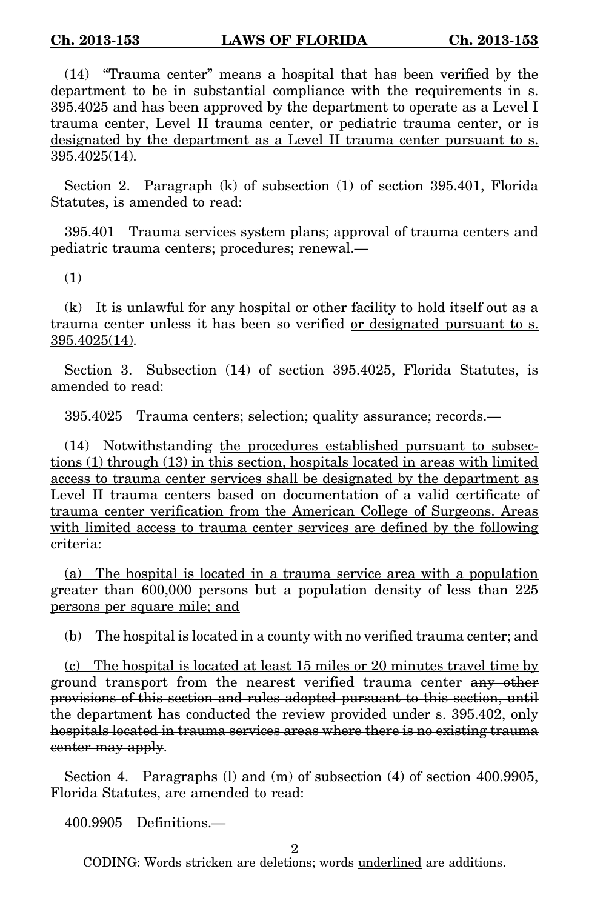(14) "Trauma center" means a hospital that has been verified by the department to be in substantial compliance with the requirements in s. 395.4025 and has been approved by the department to operate as a Level I trauma center, Level II trauma center, or pediatric trauma center, or is designated by the department as a Level II trauma center pursuant to s. 395.4025(14).

Section 2. Paragraph (k) of subsection (1) of section 395.401, Florida Statutes, is amended to read:

395.401 Trauma services system plans; approval of trauma centers and pediatric trauma centers; procedures; renewal.—

(1)

(k) It is unlawful for any hospital or other facility to hold itself out as a trauma center unless it has been so verified <u>or designated pursuant to s.</u> 395.4025(14).

Section 3. Subsection (14) of section 395.4025, Florida Statutes, is amended to read:

395.4025 Trauma centers; selection; quality assurance; records.—

(14) Notwithstanding the procedures established pursuant to subsections (1) through (13) in this section, hospitals located in areas with limited access to trauma center services shall be designated by the department as Level II trauma centers based on documentation of a valid certificate of trauma center verification from the American College of Surgeons. Areas with limited access to trauma center services are defined by the following criteria:

(a) The hospital is located in a trauma service area with a population greater than 600,000 persons but a population density of less than 225 persons per square mile; and

(b) The hospital is located in a county with no verified trauma center; and

(c) The hospital is located at least 15 miles or 20 minutes travel time by ground transport from the nearest verified trauma center any other provisions of this section and rules adopted pursuant to this section, until the department has conducted the review provided under s. 395.402, only hospitals located in trauma services areas where there is no existing trauma center may apply.

Section 4. Paragraphs (I) and (m) of subsection (4) of section 400.9905, Florida Statutes, are amended to read:

400.9905 Definitions.—

2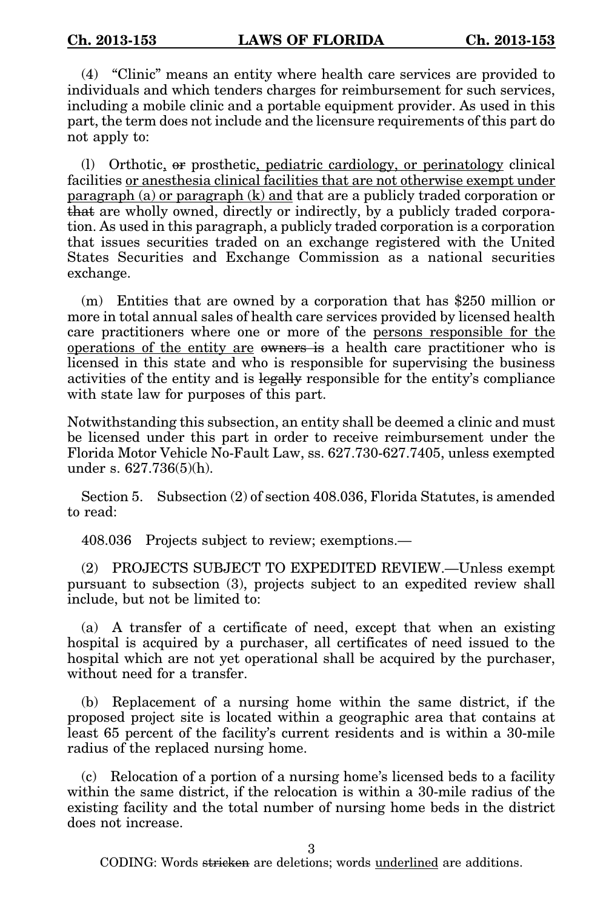(4) "Clinic" means an entity where health care services are provided to individuals and which tenders charges for reimbursement for such services, including a mobile clinic and a portable equipment provider. As used in this part, the term does not include and the licensure requirements of this part do not apply to:

(l) Orthotic, or prosthetic, pediatric cardiology, or perinatology clinical facilities or anesthesia clinical facilities that are not otherwise exempt under paragraph (a) or paragraph (k) and that are a publicly traded corporation or that are wholly owned, directly or indirectly, by a publicly traded corporation. As used in this paragraph, a publicly traded corporation is a corporation that issues securities traded on an exchange registered with the United States Securities and Exchange Commission as a national securities exchange.

(m) Entities that are owned by a corporation that has \$250 million or more in total annual sales of health care services provided by licensed health care practitioners where one or more of the persons responsible for the operations of the entity are owners is a health care practitioner who is licensed in this state and who is responsible for supervising the business activities of the entity and is legally responsible for the entity's compliance with state law for purposes of this part.

Notwithstanding this subsection, an entity shall be deemed a clinic and must be licensed under this part in order to receive reimbursement under the Florida Motor Vehicle No-Fault Law, ss. 627.730-627.7405, unless exempted under s. 627.736(5)(h).

Section 5. Subsection (2) of section 408.036, Florida Statutes, is amended to read:

408.036 Projects subject to review; exemptions.—

(2) PROJECTS SUBJECT TO EXPEDITED REVIEW.—Unless exempt pursuant to subsection (3), projects subject to an expedited review shall include, but not be limited to:

(a) A transfer of a certificate of need, except that when an existing hospital is acquired by a purchaser, all certificates of need issued to the hospital which are not yet operational shall be acquired by the purchaser, without need for a transfer.

(b) Replacement of a nursing home within the same district, if the proposed project site is located within a geographic area that contains at least 65 percent of the facility's current residents and is within a 30-mile radius of the replaced nursing home.

(c) Relocation of a portion of a nursing home's licensed beds to a facility within the same district, if the relocation is within a 30-mile radius of the existing facility and the total number of nursing home beds in the district does not increase.

3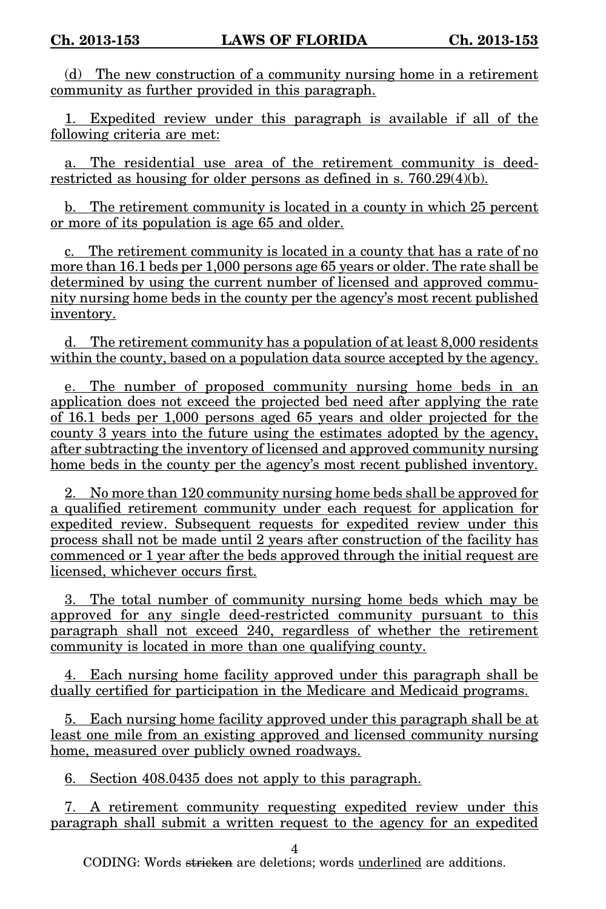(d) The new construction of a community nursing home in a retirement community as further provided in this paragraph.

1. Expedited review under this paragraph is available if all of the following criteria are met:

a. The residential use area of the retirement community is deedrestricted as housing for older persons as defined in s. 760.29(4)(b).

b. The retirement community is located in a county in which 25 percent or more of its population is age 65 and older.

c. The retirement community is located in a county that has a rate of no more than 16.1 beds per 1,000 persons age 65 years or older. The rate shall be determined by using the current number of licensed and approved community nursing home beds in the county per the agency's most recent published inventory.

d. The retirement community has a population of at least 8,000 residents within the county, based on a population data source accepted by the agency.

e. The number of proposed community nursing home beds in an application does not exceed the projected bed need after applying the rate of 16.1 beds per 1,000 persons aged 65 years and older projected for the county 3 years into the future using the estimates adopted by the agency, after subtracting the inventory of licensed and approved community nursing home beds in the county per the agency's most recent published inventory.

2. No more than 120 community nursing home beds shall be approved for a qualified retirement community under each request for application for expedited review. Subsequent requests for expedited review under this process shall not be made until 2 years after construction of the facility has commenced or 1 year after the beds approved through the initial request are licensed, whichever occurs first.

3. The total number of community nursing home beds which may be approved for any single deed-restricted community pursuant to this paragraph shall not exceed 240, regardless of whether the retirement community is located in more than one qualifying county.

4. Each nursing home facility approved under this paragraph shall be dually certified for participation in the Medicare and Medicaid programs.

5. Each nursing home facility approved under this paragraph shall be at least one mile from an existing approved and licensed community nursing home, measured over publicly owned roadways.

6. Section 408.0435 does not apply to this paragraph.

7. A retirement community requesting expedited review under this paragraph shall submit a written request to the agency for an expedited

4

CODING: Words <del>stricken</del> are deletions; words <u>underlined</u> are additions.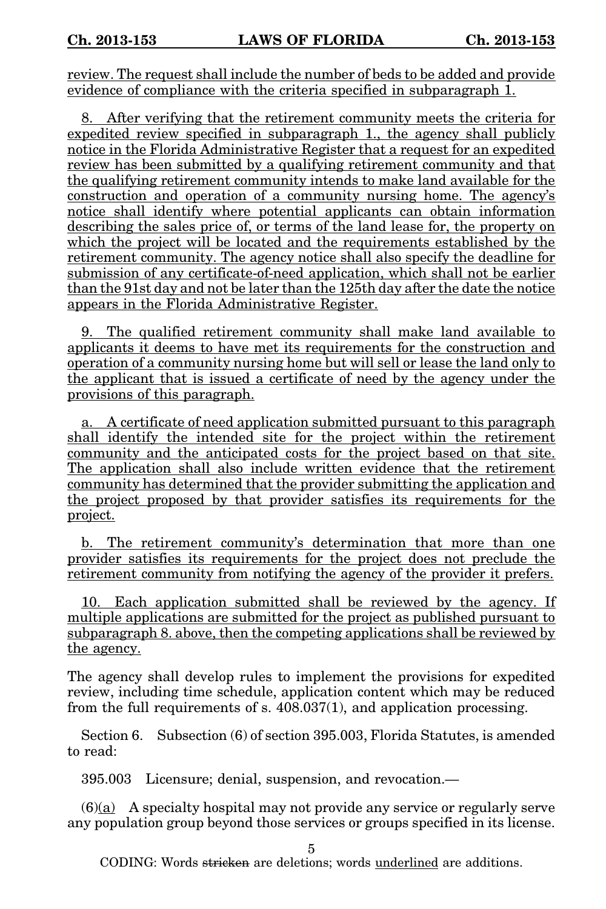review. The request shall include the number of beds to be added and provide evidence of compliance with the criteria specified in subparagraph 1.

8. After verifying that the retirement community meets the criteria for expedited review specified in subparagraph 1., the agency shall publicly notice in the Florida Administrative Register that a request for an expedited review has been submitted by a qualifying retirement community and that the qualifying retirement community intends to make land available for the construction and operation of a community nursing home. The agency's notice shall identify where potential applicants can obtain information describing the sales price of, or terms of the land lease for, the property on which the project will be located and the requirements established by the retirement community. The agency notice shall also specify the deadline for submission of any certificate-of-need application, which shall not be earlier than the 91st day and not be later than the 125th day after the date the notice appears in the Florida Administrative Register.

9. The qualified retirement community shall make land available to applicants it deems to have met its requirements for the construction and operation of a community nursing home but will sell or lease the land only to the applicant that is issued a certificate of need by the agency under the provisions of this paragraph.

a. A certificate of need application submitted pursuant to this paragraph shall identify the intended site for the project within the retirement community and the anticipated costs for the project based on that site. The application shall also include written evidence that the retirement community has determined that the provider submitting the application and the project proposed by that provider satisfies its requirements for the project.

b. The retirement community's determination that more than one provider satisfies its requirements for the project does not preclude the retirement community from notifying the agency of the provider it prefers.

10. Each application submitted shall be reviewed by the agency. If multiple applications are submitted for the project as published pursuant to subparagraph 8. above, then the competing applications shall be reviewed by the agency.

The agency shall develop rules to implement the provisions for expedited review, including time schedule, application content which may be reduced from the full requirements of s. 408.037(1), and application processing.

Section 6. Subsection (6) of section 395.003, Florida Statutes, is amended to read:

395.003 Licensure; denial, suspension, and revocation.—

(6)(a) A specialty hospital may not provide any service or regularly serve any population group beyond those services or groups specified in its license.

5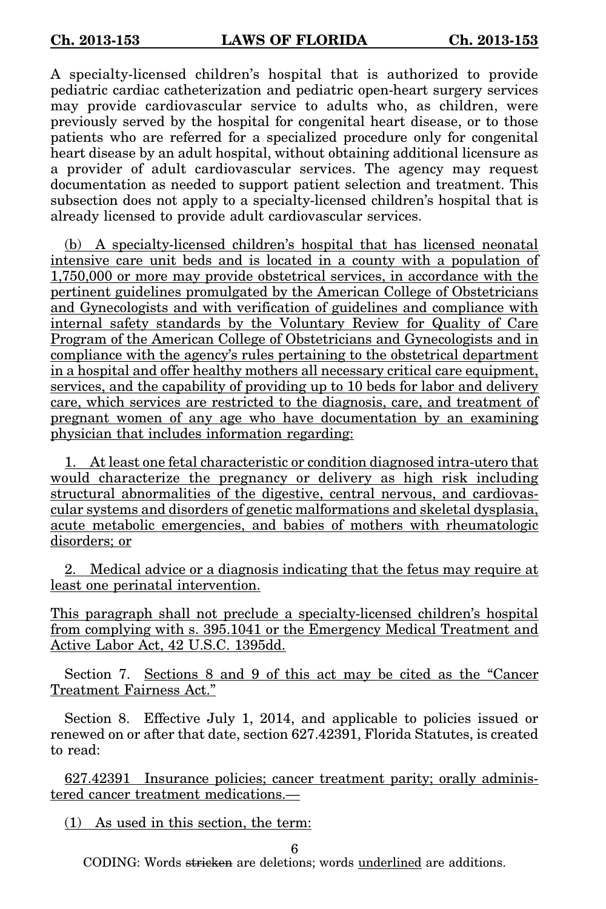A specialty-licensed children's hospital that is authorized to provide pediatric cardiac catheterization and pediatric open-heart surgery services may provide cardiovascular service to adults who, as children, were previously served by the hospital for congenital heart disease, or to those patients who are referred for a specialized procedure only for congenital heart disease by an adult hospital, without obtaining additional licensure as a provider of adult cardiovascular services. The agency may request documentation as needed to support patient selection and treatment. This subsection does not apply to a specialty-licensed children's hospital that is already licensed to provide adult cardiovascular services.

(b) A specialty-licensed children's hospital that has licensed neonatal intensive care unit beds and is located in a county with a population of 1,750,000 or more may provide obstetrical services, in accordance with the pertinent guidelines promulgated by the American College of Obstetricians and Gynecologists and with verification of guidelines and compliance with internal safety standards by the Voluntary Review for Quality of Care Program of the American College of Obstetricians and Gynecologists and in compliance with the agency's rules pertaining to the obstetrical department in a hospital and offer healthy mothers all necessary critical care equipment, services, and the capability of providing up to 10 beds for labor and delivery care, which services are restricted to the diagnosis, care, and treatment of pregnant women of any age who have documentation by an examining physician that includes information regarding:

1. At least one fetal characteristic or condition diagnosed intra-utero that would characterize the pregnancy or delivery as high risk including structural abnormalities of the digestive, central nervous, and cardiovascular systems and disorders of genetic malformations and skeletal dysplasia, acute metabolic emergencies, and babies of mothers with rheumatologic disorders; or

2. Medical advice or a diagnosis indicating that the fetus may require at least one perinatal intervention.

This paragraph shall not preclude a specialty-licensed children's hospital from complying with s. 395.1041 or the Emergency Medical Treatment and Active Labor Act, 42 U.S.C. 1395dd.

Section 7. Sections 8 and 9 of this act may be cited as the "Cancer Treatment Fairness Act."

Section 8. Effective July 1, 2014, and applicable to policies issued or renewed on or after that date, section 627.42391, Florida Statutes, is created to read:

627.42391 Insurance policies; cancer treatment parity; orally administered cancer treatment medications.—

(1) As used in this section, the term:

6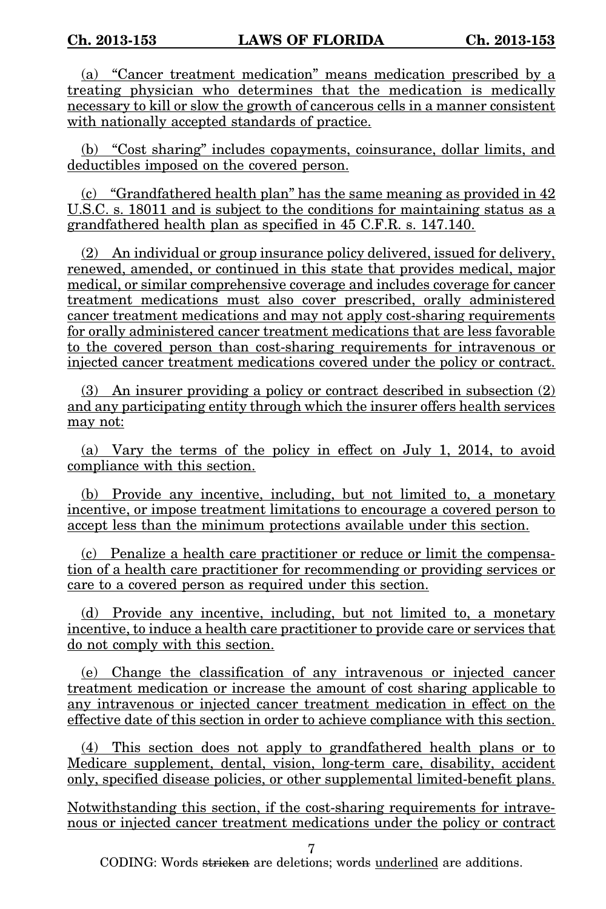(a) "Cancer treatment medication" means medication prescribed by a treating physician who determines that the medication is medically necessary to kill or slow the growth of cancerous cells in a manner consistent with nationally accepted standards of practice.

(b) "Cost sharing" includes copayments, coinsurance, dollar limits, and deductibles imposed on the covered person.

(c) "Grandfathered health plan" has the same meaning as provided in 42 U.S.C. s. 18011 and is subject to the conditions for maintaining status as a grandfathered health plan as specified in 45 C.F.R. s. 147.140.

(2) An individual or group insurance policy delivered, issued for delivery, renewed, amended, or continued in this state that provides medical, major medical, or similar comprehensive coverage and includes coverage for cancer treatment medications must also cover prescribed, orally administered cancer treatment medications and may not apply cost-sharing requirements for orally administered cancer treatment medications that are less favorable to the covered person than cost-sharing requirements for intravenous or injected cancer treatment medications covered under the policy or contract.

(3) An insurer providing a policy or contract described in subsection (2) and any participating entity through which the insurer offers health services may not:

(a) Vary the terms of the policy in effect on July 1, 2014, to avoid compliance with this section.

(b) Provide any incentive, including, but not limited to, a monetary incentive, or impose treatment limitations to encourage a covered person to accept less than the minimum protections available under this section.

(c) Penalize a health care practitioner or reduce or limit the compensation of a health care practitioner for recommending or providing services or care to a covered person as required under this section.

(d) Provide any incentive, including, but not limited to, a monetary incentive, to induce a health care practitioner to provide care or services that do not comply with this section.

(e) Change the classification of any intravenous or injected cancer treatment medication or increase the amount of cost sharing applicable to any intravenous or injected cancer treatment medication in effect on the effective date of this section in order to achieve compliance with this section.

(4) This section does not apply to grandfathered health plans or to Medicare supplement, dental, vision, long-term care, disability, accident only, specified disease policies, or other supplemental limited-benefit plans.

Notwithstanding this section, if the cost-sharing requirements for intravenous or injected cancer treatment medications under the policy or contract

7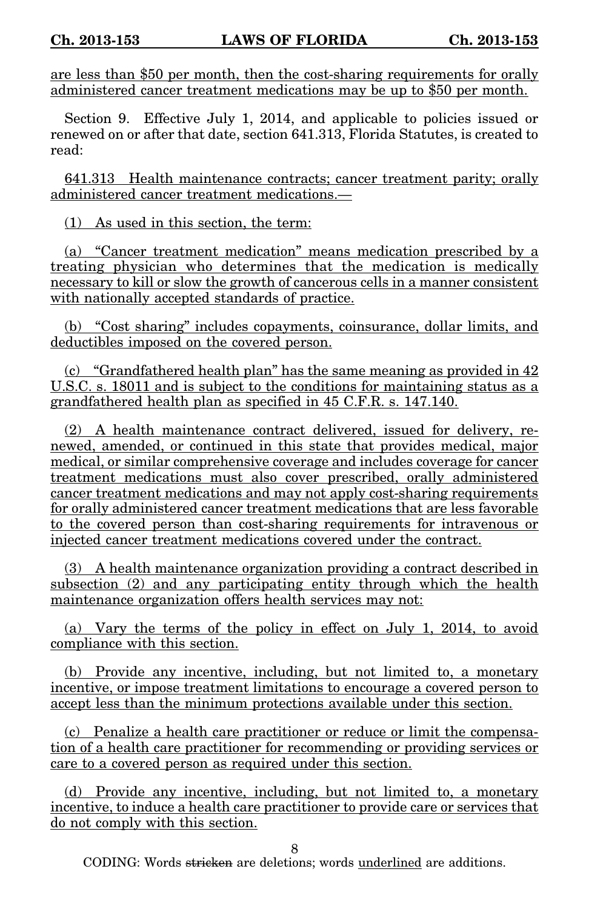are less than \$50 per month, then the cost-sharing requirements for orally administered cancer treatment medications may be up to \$50 per month.

Section 9. Effective July 1, 2014, and applicable to policies issued or renewed on or after that date, section 641.313, Florida Statutes, is created to read:

641.313 Health maintenance contracts; cancer treatment parity; orally administered cancer treatment medications.—

(1) As used in this section, the term:

(a) "Cancer treatment medication" means medication prescribed by a treating physician who determines that the medication is medically necessary to kill or slow the growth of cancerous cells in a manner consistent with nationally accepted standards of practice.

(b) "Cost sharing" includes copayments, coinsurance, dollar limits, and deductibles imposed on the covered person.

(c) "Grandfathered health plan" has the same meaning as provided in 42 U.S.C. s. 18011 and is subject to the conditions for maintaining status as a grandfathered health plan as specified in 45 C.F.R. s. 147.140.

(2) A health maintenance contract delivered, issued for delivery, renewed, amended, or continued in this state that provides medical, major medical, or similar comprehensive coverage and includes coverage for cancer treatment medications must also cover prescribed, orally administered cancer treatment medications and may not apply cost-sharing requirements for orally administered cancer treatment medications that are less favorable to the covered person than cost-sharing requirements for intravenous or injected cancer treatment medications covered under the contract.

(3) A health maintenance organization providing a contract described in subsection (2) and any participating entity through which the health maintenance organization offers health services may not:

(a) Vary the terms of the policy in effect on July 1, 2014, to avoid compliance with this section.

(b) Provide any incentive, including, but not limited to, a monetary incentive, or impose treatment limitations to encourage a covered person to accept less than the minimum protections available under this section.

(c) Penalize a health care practitioner or reduce or limit the compensation of a health care practitioner for recommending or providing services or care to a covered person as required under this section.

(d) Provide any incentive, including, but not limited to, a monetary incentive, to induce a health care practitioner to provide care or services that do not comply with this section.

8